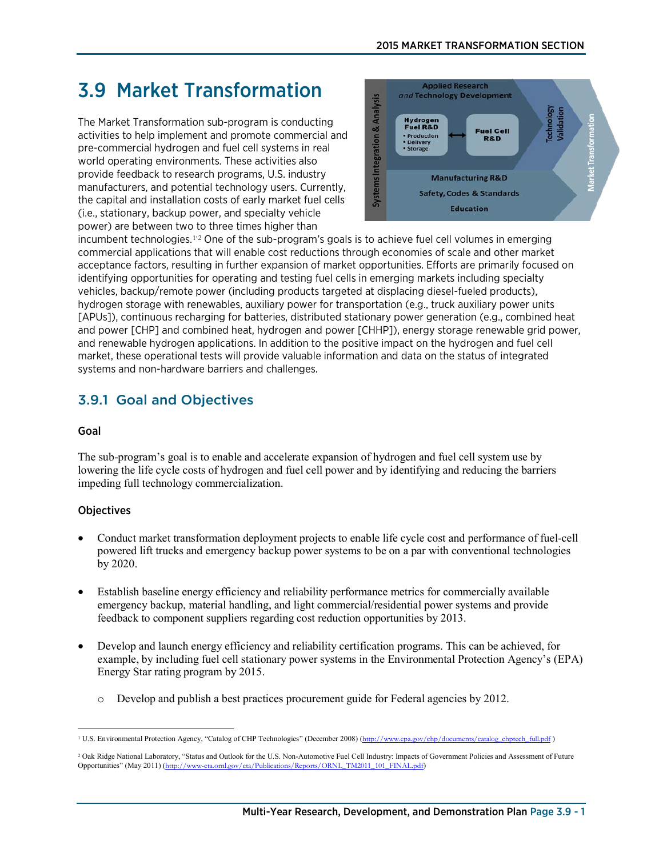# 3.9 Market Transformation

The Market Transformation sub-program is conducting activities to help implement and promote commercial and pre-commercial hydrogen and fuel cell systems in real world operating environments. These activities also provide feedback to research programs, U.S. industry manufacturers, and potential technology users. Currently, the capital and installation costs of early market fuel cells (i.e., stationary, backup power, and specialty vehicle power) are between two to three times higher than



incumbent technologies.<sup>[1](#page-0-0),[2](#page-0-1)</sup> One of the sub-program's goals is to achieve fuel cell volumes in emerging commercial applications that will enable cost reductions through economies of scale and other market acceptance factors, resulting in further expansion of market opportunities. Efforts are primarily focused on identifying opportunities for operating and testing fuel cells in emerging markets including specialty vehicles, backup/remote power (including products targeted at displacing diesel-fueled products), hydrogen storage with renewables, auxiliary power for transportation (e.g., truck auxiliary power units [APUs]), continuous recharging for batteries, distributed stationary power generation (e.g., combined heat and power [CHP] and combined heat, hydrogen and power [CHHP]), energy storage renewable grid power, and renewable hydrogen applications. In addition to the positive impact on the hydrogen and fuel cell market, these operational tests will provide valuable information and data on the status of integrated systems and non-hardware barriers and challenges.

## 3.9.1 Goal and Objectives

### Goal

The sub-program's goal is to enable and accelerate expansion of hydrogen and fuel cell system use by lowering the life cycle costs of hydrogen and fuel cell power and by identifying and reducing the barriers impeding full technology commercialization.

### **Objectives**

- Conduct market transformation deployment projects to enable life cycle cost and performance of fuel-cell powered lift trucks and emergency backup power systems to be on a par with conventional technologies by 2020.
- Establish baseline energy efficiency and reliability performance metrics for commercially available emergency backup, material handling, and light commercial/residential power systems and provide feedback to component suppliers regarding cost reduction opportunities by 2013.
- Develop and launch energy efficiency and reliability certification programs. This can be achieved, for example, by including fuel cell stationary power systems in the Environmental Protection Agency's (EPA) Energy Star rating program by 2015.
	- o Develop and publish a best practices procurement guide for Federal agencies by 2012.

<span id="page-0-0"></span> $\overline{a}$ <sup>1</sup> U.S. Environmental Protection Agency, "Catalog of CHP Technologies" (December 2008) ([http://www.epa.gov/chp/documents/catalog\\_chptech\\_full.pdf](http://www.epa.gov/chp/documents/catalog_chptech_full.pdf) )

<span id="page-0-1"></span><sup>2</sup> Oak Ridge National Laboratory, "Status and Outlook for the U.S. Non-Automotive Fuel Cell Industry: Impacts of Government Policies and Assessment of Future Opportunities" (May 2011) ([http://www-cta.ornl.gov/cta/Publications/Reports/ORNL\\_TM2011\\_101\\_FINAL.pdf](http://www-cta.ornl.gov/cta/Publications/Reports/ORNL_TM2011_101_FINAL.pdf))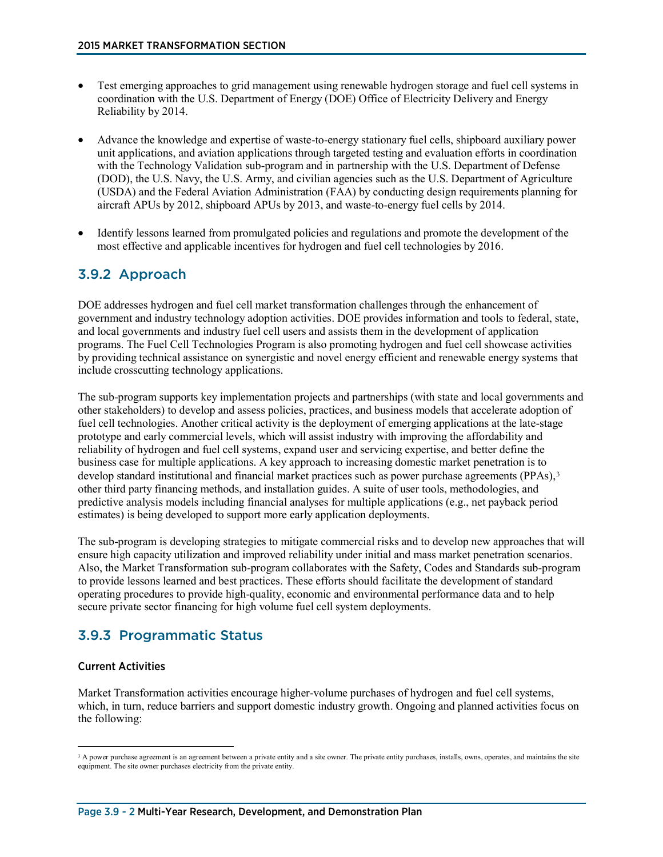- Test emerging approaches to grid management using renewable hydrogen storage and fuel cell systems in coordination with the U.S. Department of Energy (DOE) Office of Electricity Delivery and Energy Reliability by 2014.
- Advance the knowledge and expertise of waste-to-energy stationary fuel cells, shipboard auxiliary power unit applications, and aviation applications through targeted testing and evaluation efforts in coordination with the Technology Validation sub-program and in partnership with the U.S. Department of Defense (DOD), the U.S. Navy, the U.S. Army, and civilian agencies such as the U.S. Department of Agriculture (USDA) and the Federal Aviation Administration (FAA) by conducting design requirements planning for aircraft APUs by 2012, shipboard APUs by 2013, and waste-to-energy fuel cells by 2014.
- Identify lessons learned from promulgated policies and regulations and promote the development of the most effective and applicable incentives for hydrogen and fuel cell technologies by 2016.

### 3.9.2 Approach

DOE addresses hydrogen and fuel cell market transformation challenges through the enhancement of [government and industry technology adoption activities.](http://www1.eere.energy.gov/solar/state_technical.html) DOE provides information and tools to federal, state, and local governments and industry fuel cell users and assists them in the development of application programs. The Fuel Cell Technologies Program is also promoting hydrogen and fuel cell showcase activities by providing technical assistance on synergistic and novel energy efficient and renewable energy systems that include crosscutting technology applications.

The sub-program supports key implementation projects and partnerships (with state and local governments and other stakeholders) to develop and assess policies, practices, and business models that accelerate adoption of fuel cell technologies. Another critical activity is the deployment of emerging applications at the late-stage prototype and early commercial levels, which will assist industry with improving the affordability and reliability of hydrogen and fuel cell systems, expand user and servicing expertise, and better define the business case for multiple applications. A key approach to increasing domestic market penetration is to develop standard institutional and financial market practices such as power purchase agreements (PPAs),<sup>[3](#page-1-0)</sup> other third party financing methods, and installation guides. A suite of user tools, methodologies, and predictive analysis models including financial analyses for multiple applications (e.g., net payback period estimates) is being developed to support more early application deployments.

The sub-program is developing strategies to mitigate commercial risks and to develop new approaches that will ensure high capacity utilization and improved reliability under initial and mass market penetration scenarios. Also, the Market Transformation sub-program collaborates with the Safety, Codes and Standards sub-program to provide lessons learned and best practices. These efforts should facilitate the development of standard operating procedures to provide high-quality, economic and environmental performance data and to help secure private sector financing for high volume fuel cell system deployments.

### 3.9.3 Programmatic Status

#### Current Activities

Market Transformation activities encourage higher-volume purchases of hydrogen and fuel cell systems, which, in turn, reduce barriers and support domestic industry growth. Ongoing and planned activities focus on the following:

<span id="page-1-0"></span> $\overline{a}$ <sup>3</sup> A power purchase agreement is an agreement between a private entity and a site owner. The private entity purchases, installs, owns, operates, and maintains the site equipment. The site owner purchases electricity from the private entity.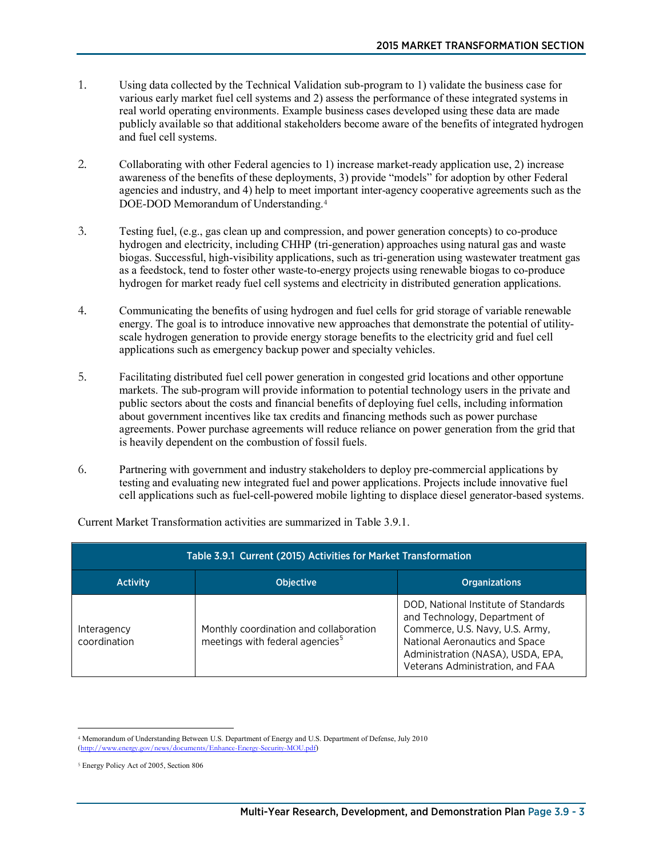- 1. Using data collected by the Technical Validation sub-program to 1) validate the business case for various early market fuel cell systems and 2) assess the performance of these integrated systems in real world operating environments. Example business cases developed using these data are made publicly available so that additional stakeholders become aware of the benefits of integrated hydrogen and fuel cell systems.
- 2. Collaborating with other Federal agencies to 1) increase market-ready application use, 2) increase awareness of the benefits of these deployments, 3) provide "models" for adoption by other Federal agencies and industry, and 4) help to meet important inter-agency cooperative agreements such as the DOE-DOD Memorandum of Understanding.[4](#page-2-0)
- 3. Testing fuel, (e.g., gas clean up and compression, and power generation concepts) to co-produce hydrogen and electricity, including CHHP (tri-generation) approaches using natural gas and waste biogas. Successful, high-visibility applications, such as tri-generation using wastewater treatment gas as a feedstock, tend to foster other waste-to-energy projects using renewable biogas to co-produce hydrogen for market ready fuel cell systems and electricity in distributed generation applications.
- 4. Communicating the benefits of using hydrogen and fuel cells for grid storage of variable renewable energy. The goal is to introduce innovative new approaches that demonstrate the potential of utilityscale hydrogen generation to provide energy storage benefits to the electricity grid and fuel cell applications such as emergency backup power and specialty vehicles.
- 5. Facilitating distributed fuel cell power generation in congested grid locations and other opportune markets. The sub-program will provide information to potential technology users in the private and public sectors about the costs and financial benefits of deploying fuel cells, including information about government incentives like tax credits and financing methods such as power purchase agreements. Power purchase agreements will reduce reliance on power generation from the grid that is heavily dependent on the combustion of fossil fuels.
- 6. Partnering with government and industry stakeholders to deploy pre-commercial applications by testing and evaluating new integrated fuel and power applications. Projects include innovative fuel cell applications such as fuel-cell-powered mobile lighting to displace diesel generator-based systems.

| Table 3.9.1 Current (2015) Activities for Market Transformation |                                                                                       |                                                                                                                                                                                                                     |
|-----------------------------------------------------------------|---------------------------------------------------------------------------------------|---------------------------------------------------------------------------------------------------------------------------------------------------------------------------------------------------------------------|
| <b>Activity</b>                                                 | <b>Objective</b>                                                                      | <b>Organizations</b>                                                                                                                                                                                                |
| Interagency<br>coordination                                     | Monthly coordination and collaboration<br>meetings with federal agencies <sup>5</sup> | DOD, National Institute of Standards<br>and Technology, Department of<br>Commerce, U.S. Navy, U.S. Army,<br>National Aeronautics and Space<br>Administration (NASA), USDA, EPA,<br>Veterans Administration, and FAA |

Current Market Transformation activities are summarized in Table 3.9.1.

 $\overline{a}$ 

<span id="page-2-0"></span><sup>4</sup> Memorandum of Understanding Between U.S. Department of Energy and U.S. Department of Defense, July 2010 ov/news/documents/Enhance-Energy-Security-MOU.pdf)

<span id="page-2-1"></span><sup>5</sup> Energy Policy Act of 2005, Section 806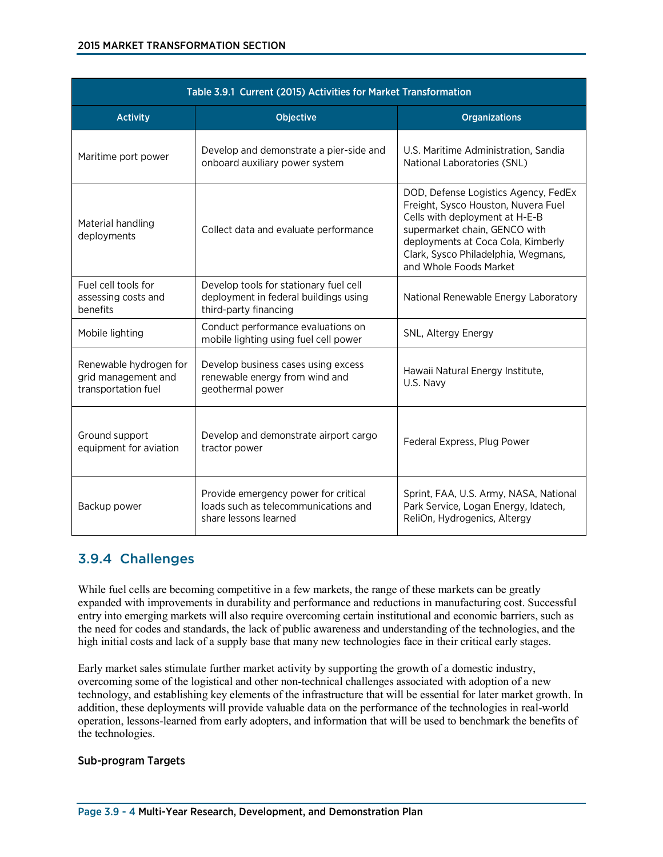#### 2015 MARKET TRANSFORMATION SECTION

| Table 3.9.1 Current (2015) Activities for Market Transformation      |                                                                                                          |                                                                                                                                                                                                                                                       |
|----------------------------------------------------------------------|----------------------------------------------------------------------------------------------------------|-------------------------------------------------------------------------------------------------------------------------------------------------------------------------------------------------------------------------------------------------------|
| <b>Activity</b>                                                      | Objective                                                                                                | <b>Organizations</b>                                                                                                                                                                                                                                  |
| Maritime port power                                                  | Develop and demonstrate a pier-side and<br>onboard auxiliary power system                                | U.S. Maritime Administration, Sandia<br>National Laboratories (SNL)                                                                                                                                                                                   |
| Material handling<br>deployments                                     | Collect data and evaluate performance                                                                    | DOD, Defense Logistics Agency, FedEx<br>Freight, Sysco Houston, Nuvera Fuel<br>Cells with deployment at H-E-B<br>supermarket chain, GENCO with<br>deployments at Coca Cola, Kimberly<br>Clark, Sysco Philadelphia, Wegmans,<br>and Whole Foods Market |
| Fuel cell tools for<br>assessing costs and<br>benefits               | Develop tools for stationary fuel cell<br>deployment in federal buildings using<br>third-party financing | National Renewable Energy Laboratory                                                                                                                                                                                                                  |
| Mobile lighting                                                      | Conduct performance evaluations on<br>mobile lighting using fuel cell power                              | SNL, Altergy Energy                                                                                                                                                                                                                                   |
| Renewable hydrogen for<br>grid management and<br>transportation fuel | Develop business cases using excess<br>renewable energy from wind and<br>geothermal power                | Hawaii Natural Energy Institute,<br>U.S. Navy                                                                                                                                                                                                         |
| Ground support<br>equipment for aviation                             | Develop and demonstrate airport cargo<br>tractor power                                                   | Federal Express, Plug Power                                                                                                                                                                                                                           |
| Backup power                                                         | Provide emergency power for critical<br>loads such as telecommunications and<br>share lessons learned    | Sprint, FAA, U.S. Army, NASA, National<br>Park Service, Logan Energy, Idatech,<br>ReliOn, Hydrogenics, Altergy                                                                                                                                        |

### 3.9.4 Challenges

While fuel cells are becoming competitive in a few markets, the range of these markets can be greatly expanded with improvements in durability and performance and reductions in manufacturing cost. Successful entry into emerging markets will also require overcoming certain institutional and economic barriers, such as the need for codes and standards, the lack of public awareness and understanding of the technologies, and the high initial costs and lack of a supply base that many new technologies face in their critical early stages.

Early market sales stimulate further market activity by supporting the growth of a domestic industry, overcoming some of the logistical and other non-technical challenges associated with adoption of a new technology, and establishing key elements of the infrastructure that will be essential for later market growth. In addition, these deployments will provide valuable data on the performance of the technologies in real-world operation, lessons-learned from early adopters, and information that will be used to benchmark the benefits of the technologies.

#### Sub-program Targets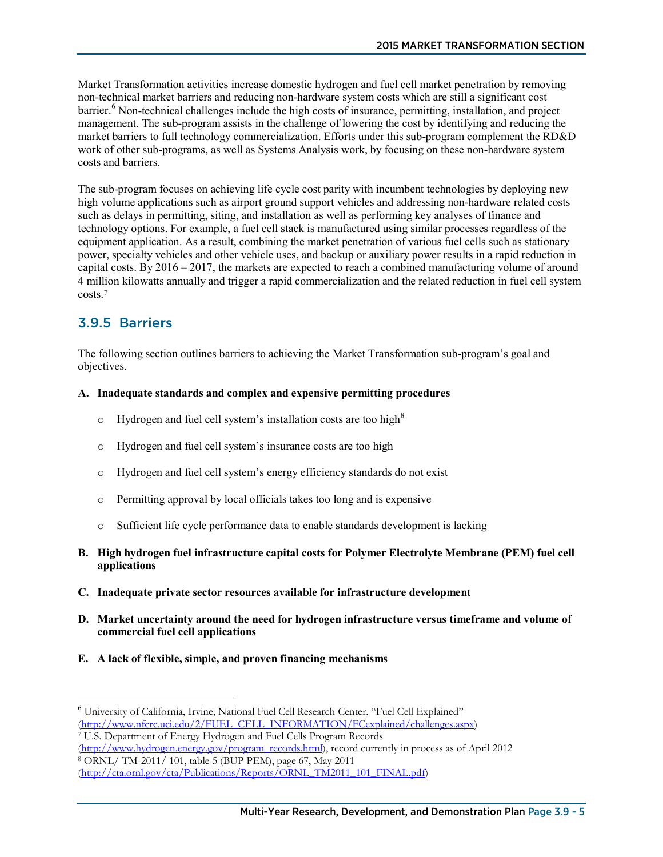Market Transformation activities increase domestic hydrogen and fuel cell market penetration by removing non-technical market barriers and reducing non-hardware system costs which are still a significant cost barrier.<sup>[6](#page-4-0)</sup> Non-technical challenges include the high costs of insurance, permitting, installation, and project management. The sub-program assists in the challenge of lowering the cost by identifying and reducing the market barriers to full technology commercialization. Efforts under this sub-program complement the RD&D work of other sub-programs, as well as Systems Analysis work, by focusing on these non-hardware system costs and barriers.

The sub-program focuses on achieving life cycle cost parity with incumbent technologies by deploying new high volume applications such as airport ground support vehicles and addressing non-hardware related costs such as delays in permitting, siting, and installation as well as performing key analyses of finance and technology options. For example, a fuel cell stack is manufactured using similar processes regardless of the equipment application. As a result, combining the market penetration of various fuel cells such as stationary power, specialty vehicles and other vehicle uses, and backup or auxiliary power results in a rapid reduction in capital costs. By 2016 – 2017, the markets are expected to reach a combined manufacturing volume of around 4 million kilowatts annually and trigger a rapid commercialization and the related reduction in fuel cell system costs.[7](#page-4-1)

### 3.9.5 Barriers

The following section outlines barriers to achieving the Market Transformation sub-program's goal and objectives.

#### **A. Inadequate standards and complex and expensive permitting procedures**

- $\circ$  Hydrogen and fuel cell system's installation costs are too high<sup>[8](#page-4-2)</sup>
- o Hydrogen and fuel cell system's insurance costs are too high
- o Hydrogen and fuel cell system's energy efficiency standards do not exist
- o Permitting approval by local officials takes too long and is expensive
- o Sufficient life cycle performance data to enable standards development is lacking
- **B. High hydrogen fuel infrastructure capital costs for Polymer Electrolyte Membrane (PEM) fuel cell applications**
- **C. Inadequate private sector resources available for infrastructure development**
- **D. Market uncertainty around the need for hydrogen infrastructure versus timeframe and volume of commercial fuel cell applications**
- **E. A lack of flexible, simple, and proven financing mechanisms**

<span id="page-4-0"></span> <sup>6</sup> University of California, Irvine, National Fuel Cell Research Center, "Fuel Cell Explained" [\(http://www.nfcrc.uci.edu/2/FUEL\\_CELL\\_INFORMATION/FCexplained/challenges.aspx\)](http://www.nfcrc.uci.edu/2/FUEL_CELL_INFORMATION/FCexplained/challenges.aspx) <sup>7</sup> U.S. Department of Energy Hydrogen and Fuel Cells Program Records

<span id="page-4-1"></span>[<sup>\(</sup>http://www.hydrogen.energy.gov/program\\_records.html\)](http://www.hydrogen.energy.gov/program_records.html), record currently in process as of April 2012

<span id="page-4-2"></span><sup>8</sup> ORNL/ TM-2011/ 101, table 5 (BUP PEM), page 67, May 2011

[<sup>\(</sup>http://cta.ornl.gov/cta/Publications/Reports/ORNL\\_TM2011\\_101\\_FINAL.pdf\)](http://cta.ornl.gov/cta/Publications/Reports/ORNL_TM2011_101_FINAL.pdf)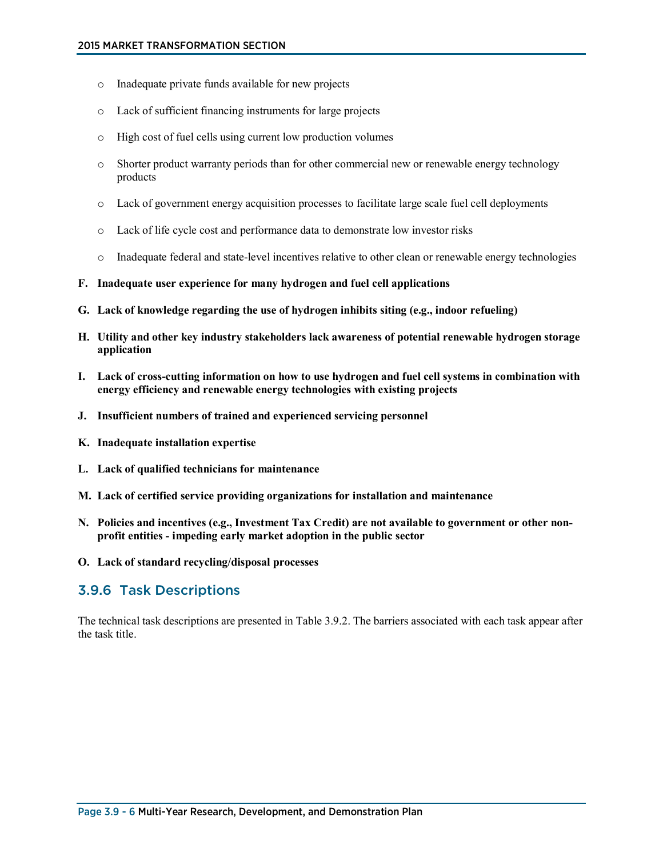- o Inadequate private funds available for new projects
- o Lack of sufficient financing instruments for large projects
- o High cost of fuel cells using current low production volumes
- o Shorter product warranty periods than for other commercial new or renewable energy technology products
- o Lack of government energy acquisition processes to facilitate large scale fuel cell deployments
- o Lack of life cycle cost and performance data to demonstrate low investor risks
- o Inadequate federal and state-level incentives relative to other clean or renewable energy technologies
- **F. Inadequate user experience for many hydrogen and fuel cell applications**
- **G. Lack of knowledge regarding the use of hydrogen inhibits siting (e.g., indoor refueling)**
- **H. Utility and other key industry stakeholders lack awareness of potential renewable hydrogen storage application**
- **I. Lack of cross-cutting information on how to use hydrogen and fuel cell systems in combination with energy efficiency and renewable energy technologies with existing projects**
- **J. Insufficient numbers of trained and experienced servicing personnel**
- **K. Inadequate installation expertise**
- **L. Lack of qualified technicians for maintenance**
- **M. Lack of certified service providing organizations for installation and maintenance**
- **N. Policies and incentives (e.g., Investment Tax Credit) are not available to government or other nonprofit entities - impeding early market adoption in the public sector**
- **O. Lack of standard recycling/disposal processes**

### 3.9.6 Task Descriptions

The technical task descriptions are presented in Table 3.9.2. The barriers associated with each task appear after the task title.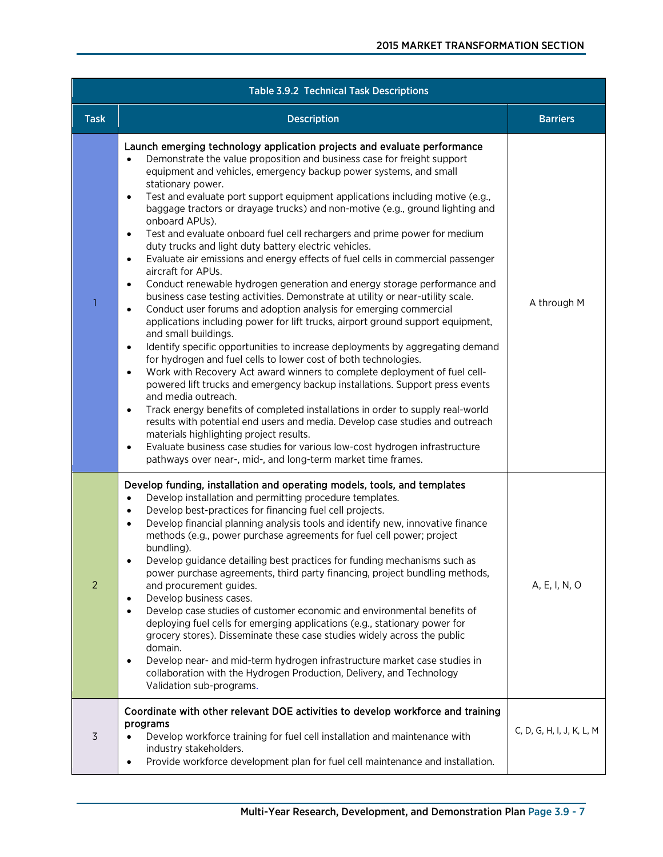| <b>Table 3.9.2 Technical Task Descriptions</b> |                                                                                                                                                                                                                                                                                                                                                                                                                                                                                                                                                                                                                                                                                                                                                                                                                                                                                                                                                                                                                                                                                                                                                                                                                                                                                                                                                                                                                                                                                                                                                                                                                                                                                                                                                                                                                                                                        |                           |
|------------------------------------------------|------------------------------------------------------------------------------------------------------------------------------------------------------------------------------------------------------------------------------------------------------------------------------------------------------------------------------------------------------------------------------------------------------------------------------------------------------------------------------------------------------------------------------------------------------------------------------------------------------------------------------------------------------------------------------------------------------------------------------------------------------------------------------------------------------------------------------------------------------------------------------------------------------------------------------------------------------------------------------------------------------------------------------------------------------------------------------------------------------------------------------------------------------------------------------------------------------------------------------------------------------------------------------------------------------------------------------------------------------------------------------------------------------------------------------------------------------------------------------------------------------------------------------------------------------------------------------------------------------------------------------------------------------------------------------------------------------------------------------------------------------------------------------------------------------------------------------------------------------------------------|---------------------------|
| <b>Task</b>                                    | <b>Description</b>                                                                                                                                                                                                                                                                                                                                                                                                                                                                                                                                                                                                                                                                                                                                                                                                                                                                                                                                                                                                                                                                                                                                                                                                                                                                                                                                                                                                                                                                                                                                                                                                                                                                                                                                                                                                                                                     | <b>Barriers</b>           |
| 1                                              | Launch emerging technology application projects and evaluate performance<br>Demonstrate the value proposition and business case for freight support<br>$\bullet$<br>equipment and vehicles, emergency backup power systems, and small<br>stationary power.<br>Test and evaluate port support equipment applications including motive (e.g.,<br>$\bullet$<br>baggage tractors or drayage trucks) and non-motive (e.g., ground lighting and<br>onboard APUs).<br>Test and evaluate onboard fuel cell rechargers and prime power for medium<br>$\bullet$<br>duty trucks and light duty battery electric vehicles.<br>Evaluate air emissions and energy effects of fuel cells in commercial passenger<br>$\bullet$<br>aircraft for APUs.<br>Conduct renewable hydrogen generation and energy storage performance and<br>$\bullet$<br>business case testing activities. Demonstrate at utility or near-utility scale.<br>Conduct user forums and adoption analysis for emerging commercial<br>$\bullet$<br>applications including power for lift trucks, airport ground support equipment,<br>and small buildings.<br>Identify specific opportunities to increase deployments by aggregating demand<br>$\bullet$<br>for hydrogen and fuel cells to lower cost of both technologies.<br>Work with Recovery Act award winners to complete deployment of fuel cell-<br>$\bullet$<br>powered lift trucks and emergency backup installations. Support press events<br>and media outreach.<br>Track energy benefits of completed installations in order to supply real-world<br>$\bullet$<br>results with potential end users and media. Develop case studies and outreach<br>materials highlighting project results.<br>Evaluate business case studies for various low-cost hydrogen infrastructure<br>$\bullet$<br>pathways over near-, mid-, and long-term market time frames. | A through M               |
| $\overline{2}$                                 | Develop funding, installation and operating models, tools, and templates<br>Develop installation and permitting procedure templates.<br>$\bullet$<br>Develop best-practices for financing fuel cell projects.<br>$\bullet$<br>Develop financial planning analysis tools and identify new, innovative finance<br>$\bullet$<br>methods (e.g., power purchase agreements for fuel cell power; project<br>bundling).<br>Develop guidance detailing best practices for funding mechanisms such as<br>power purchase agreements, third party financing, project bundling methods,<br>and procurement guides.<br>Develop business cases.<br>٠<br>Develop case studies of customer economic and environmental benefits of<br>$\bullet$<br>deploying fuel cells for emerging applications (e.g., stationary power for<br>grocery stores). Disseminate these case studies widely across the public<br>domain.<br>Develop near- and mid-term hydrogen infrastructure market case studies in<br>$\bullet$<br>collaboration with the Hydrogen Production, Delivery, and Technology<br>Validation sub-programs.                                                                                                                                                                                                                                                                                                                                                                                                                                                                                                                                                                                                                                                                                                                                                                      | A, E, I, N, O             |
| 3                                              | Coordinate with other relevant DOE activities to develop workforce and training<br>programs<br>Develop workforce training for fuel cell installation and maintenance with<br>industry stakeholders.<br>Provide workforce development plan for fuel cell maintenance and installation.<br>$\bullet$                                                                                                                                                                                                                                                                                                                                                                                                                                                                                                                                                                                                                                                                                                                                                                                                                                                                                                                                                                                                                                                                                                                                                                                                                                                                                                                                                                                                                                                                                                                                                                     | C, D, G, H, I, J, K, L, M |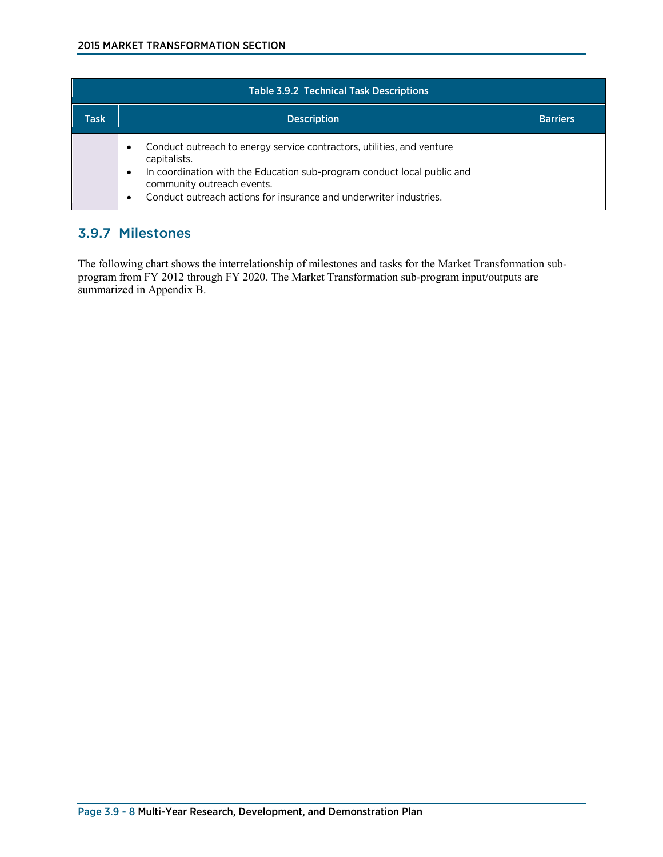| <b>Table 3.9.2 Technical Task Descriptions</b> |                                                                                                                                                                                                                                                                                                      |                 |
|------------------------------------------------|------------------------------------------------------------------------------------------------------------------------------------------------------------------------------------------------------------------------------------------------------------------------------------------------------|-----------------|
| Task                                           | <b>Description</b>                                                                                                                                                                                                                                                                                   | <b>Barriers</b> |
|                                                | Conduct outreach to energy service contractors, utilities, and venture<br>$\bullet$<br>capitalists.<br>In coordination with the Education sub-program conduct local public and<br>$\bullet$<br>community outreach events.<br>Conduct outreach actions for insurance and underwriter industries.<br>٠ |                 |

### 3.9.7 Milestones

The following chart shows the interrelationship of milestones and tasks for the Market Transformation subprogram from FY 2012 through FY 2020. The Market Transformation sub-program input/outputs are summarized in Appendix B.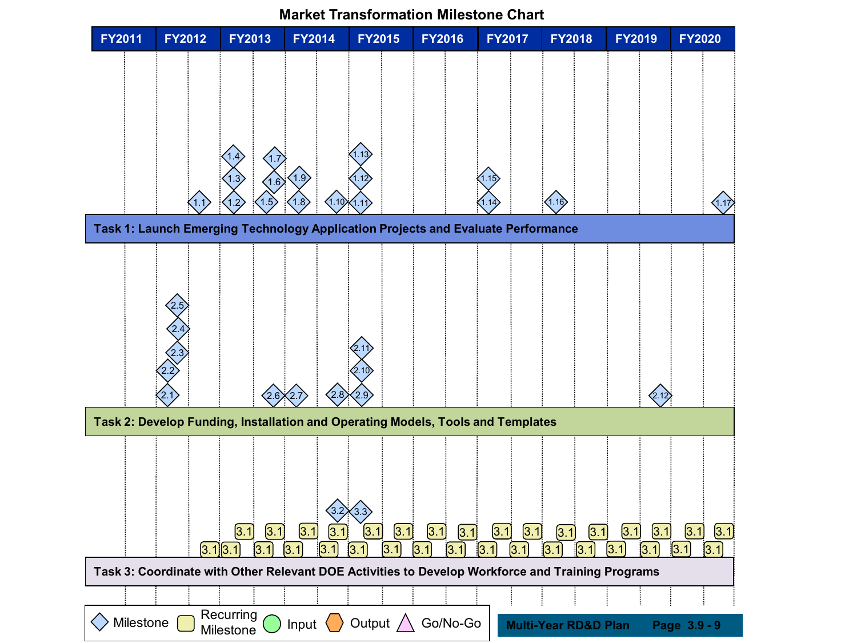

**Market Transformation Milestone Chart**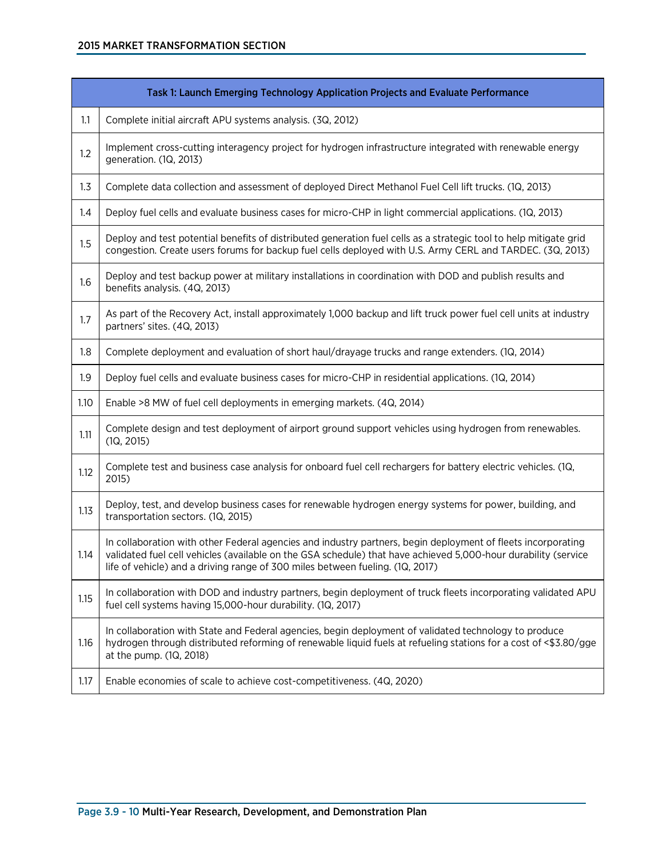### 2015 MARKET TRANSFORMATION SECTION

|      | Task 1: Launch Emerging Technology Application Projects and Evaluate Performance                                                                                                                                                                                                                                |
|------|-----------------------------------------------------------------------------------------------------------------------------------------------------------------------------------------------------------------------------------------------------------------------------------------------------------------|
| 1.1  | Complete initial aircraft APU systems analysis. (3Q, 2012)                                                                                                                                                                                                                                                      |
| 1.2  | Implement cross-cutting interagency project for hydrogen infrastructure integrated with renewable energy<br>generation. (1Q, 2013)                                                                                                                                                                              |
| 1.3  | Complete data collection and assessment of deployed Direct Methanol Fuel Cell lift trucks. (1Q, 2013)                                                                                                                                                                                                           |
| 1.4  | Deploy fuel cells and evaluate business cases for micro-CHP in light commercial applications. (1Q, 2013)                                                                                                                                                                                                        |
| 1.5  | Deploy and test potential benefits of distributed generation fuel cells as a strategic tool to help mitigate grid<br>congestion. Create users forums for backup fuel cells deployed with U.S. Army CERL and TARDEC. (3Q, 2013)                                                                                  |
| 1.6  | Deploy and test backup power at military installations in coordination with DOD and publish results and<br>benefits analysis. (4Q, 2013)                                                                                                                                                                        |
| 1.7  | As part of the Recovery Act, install approximately 1,000 backup and lift truck power fuel cell units at industry<br>partners' sites. (4Q, 2013)                                                                                                                                                                 |
| 1.8  | Complete deployment and evaluation of short haul/drayage trucks and range extenders. (1Q, 2014)                                                                                                                                                                                                                 |
| 1.9  | Deploy fuel cells and evaluate business cases for micro-CHP in residential applications. (1Q, 2014)                                                                                                                                                                                                             |
| 1.10 | Enable >8 MW of fuel cell deployments in emerging markets. (4Q, 2014)                                                                                                                                                                                                                                           |
| 1.11 | Complete design and test deployment of airport ground support vehicles using hydrogen from renewables.<br>(1Q, 2015)                                                                                                                                                                                            |
| 1.12 | Complete test and business case analysis for onboard fuel cell rechargers for battery electric vehicles. (1Q,<br>2015)                                                                                                                                                                                          |
| 1.13 | Deploy, test, and develop business cases for renewable hydrogen energy systems for power, building, and<br>transportation sectors. (1Q, 2015)                                                                                                                                                                   |
| 1.14 | In collaboration with other Federal agencies and industry partners, begin deployment of fleets incorporating<br>validated fuel cell vehicles (available on the GSA schedule) that have achieved 5,000-hour durability (service<br>life of vehicle) and a driving range of 300 miles between fueling. (1Q, 2017) |
| 1.15 | In collaboration with DOD and industry partners, begin deployment of truck fleets incorporating validated APU<br>fuel cell systems having 15,000-hour durability. (1Q, 2017)                                                                                                                                    |
| 1.16 | In collaboration with State and Federal agencies, begin deployment of validated technology to produce<br>hydrogen through distributed reforming of renewable liquid fuels at refueling stations for a cost of <\$3.80/gge<br>at the pump. (1Q, 2018)                                                            |
| 1.17 | Enable economies of scale to achieve cost-competitiveness. (4Q, 2020)                                                                                                                                                                                                                                           |